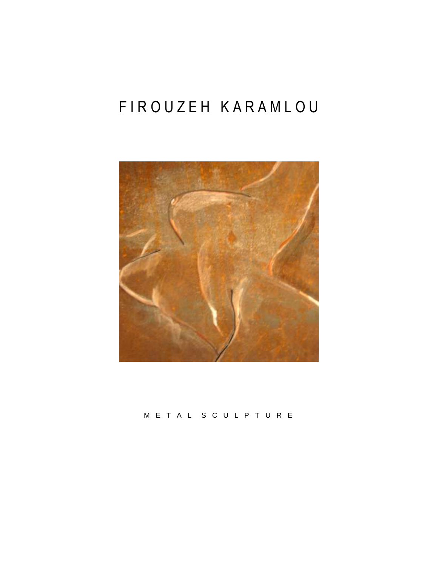# FIROUZEH KARAMLOU



## M E T A L S C U L P T U R E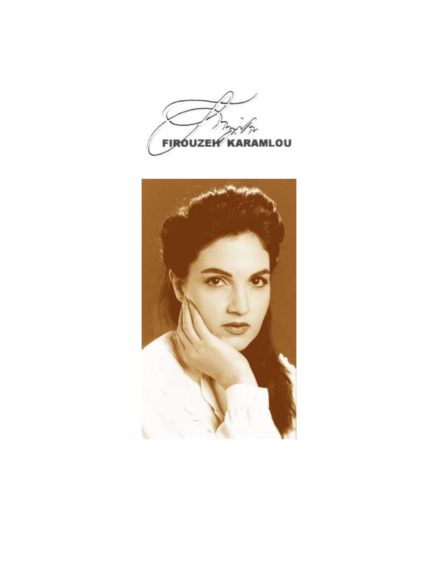

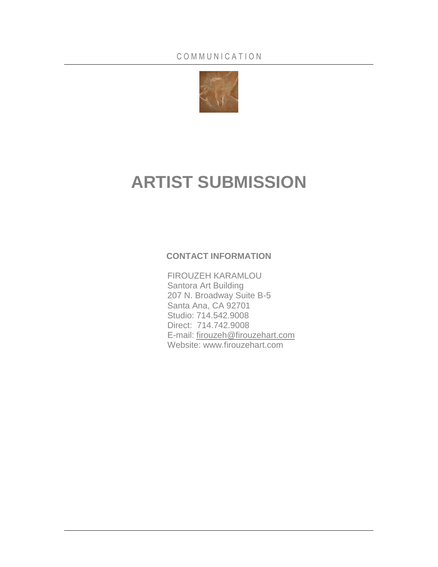

# **ARTIST SUBMISSION**

## **CONTACT INFORMATION**

FIROUZEH KARAMLOU Santora Art Building 207 N. Broadway Suite B-5 Santa Ana, CA 92701 Studio: 714.542.9008 Direct: 714.742.9008 E-mail: [firouzeh@firouzehart.com](mailto:firouzeh@firouzehart.com) Website: www.firouzehart.com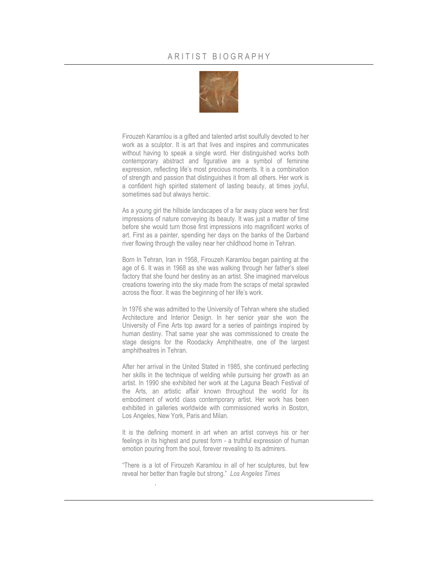

Firouzeh Karamlou is a gifted and talented artist soulfully devoted to her work as a sculptor. It is art that lives and inspires and communicates without having to speak a single word. Her distinguished works both contemporary abstract and figurative are a symbol of feminine expression, reflecting life's most precious moments. It is a combination of strength and passion that distinguishes it from all others. Her work is a confident high spirited statement of lasting beauty, at times joyful, sometimes sad but always heroic.

As a young girl the hillside landscapes of a far away place were her first impressions of nature conveying its beauty. It was just a matter of time before she would turn those first impressions into magnificent works of art. First as a painter, spending her days on the banks of the Darband river flowing through the valley near her childhood home in Tehran.

Born In Tehran, Iran in 1958, Firouzeh Karamlou began painting at the age of 6. It was in 1968 as she was walking through her father's steel factory that she found her destiny as an artist. She imagined marvelous creations towering into the sky made from the scraps of metal sprawled across the floor. It was the beginning of her life's work.

In 1976 she was admitted to the University of Tehran where she studied Architecture and Interior Design. In her senior year she won the University of Fine Arts top award for a series of paintings inspired by human destiny. That same year she was commissioned to create the stage designs for the Roodacky Amphitheatre, one of the largest amphitheatres in Tehran.

After her arrival in the United Stated in 1985, she continued perfecting her skills in the technique of welding while pursuing her growth as an artist. In 1990 she exhibited her work at the Laguna Beach Festival of the Arts, an artistic affair known throughout the world for its embodiment of world class contemporary artist. Her work has been exhibited in galleries worldwide with commissioned works in Boston, Los Angeles, New York, Paris and Milan.

It is the defining moment in art when an artist conveys his or her feelings in its highest and purest form - a truthful expression of human emotion pouring from the soul, forever revealing to its admirers.

"There is a lot of Firouzeh Karamlou in all of her sculptures, but few reveal her better than fragile but strong." *Los Angeles Times*

.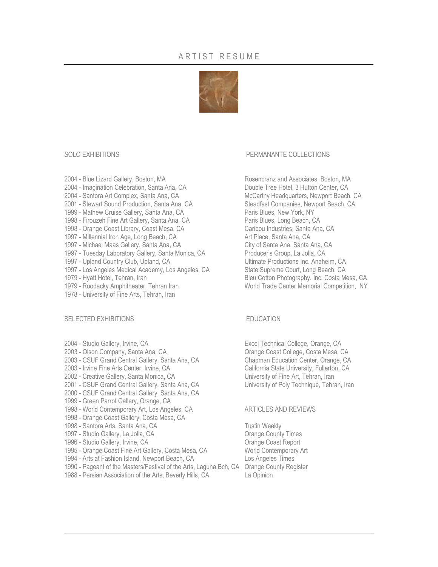## ARTIST RESUME



- 2004 Imagination Celebration, Santa Ana, CA Double Tree Hotel, 3 Hutton Center, CA
- 
- 2001 Stewart Sound Production, Santa Ana, CA Steadfast Companies, Newport Beach, CA
- 
- 
- 1998 Orange Coast Library, Coast Mesa, CA
- 
- 1997 Michael Maas Gallery, Santa Ana, CA
- 1997 Tuesday Laboratory Gallery, Santa Monica, CA Producer's Group, La Jolla, CA
- 1997 Upland Country Club, Upland, CA Ultimate Productions Inc. Anaheim, CA
- 1997 Los Angeles Medical Academy, Los Angeles, CA State Supreme Court, Long Beach, CA
- 
- 
- 1978 University of Fine Arts, Tehran, Iran

### SELECTED EXHIBITIONS EDUCATION

- 
- 
- 2003 CSUF Grand Central Gallery, Santa Ana, CA Chapman Education Center, Orange, CA
- 2003 Irvine Fine Arts Center, Irvine, CA California State University, Fullerton, CA
- 2002 Creative Gallery, Santa Monica, CA University of Fine Art, Tehran, Iran
- 2001 CSUF Grand Central Gallery, Santa Ana, CA University of Poly Technique, Tehran, Iran
- 2000 CSUF Grand Central Gallery, Santa Ana, CA
- 1999 Green Parrot Gallery, Orange, CA
- 1998 World Contemporary Art, Los Angeles, CA ARTICLES AND REVIEWS
- 1998 Orange Coast Gallery, Costa Mesa, CA
- 1998 Santora Arts, Santa Ana, CA Tustin Weekly
- 1997 Studio Gallery, La Jolla, CA Casa County Times
- 1996 Studio Gallery, Irvine, CA **Casa Coast Coast Report** Coast Report
- 
- 1994 Arts at Fashion Island, Newport Beach, CA
- 1990 Pageant of the Masters/Festival of the Arts, Laguna Bch, CA Orange County Register
- 1988 Persian Association of the Arts, Beverly Hills, CA La Opinion

### SOLO EXHIBITIONS THE RESERVE OF THE PERMANANTE COLLECTIONS

2004 - Blue Lizard Gallery, Boston, MA Rosencranz and Associates, Boston, MA 2004 - Santora Art Complex, Santa Ana, CA McCarthy Headquarters, Newport Beach, CA 1999 - Mathew Cruise Gallery, Santa Ana, CA<br>1998 - Firouzeh Fine Art Gallery, Santa Ana, CA<br>Paris Blues, Long Beach, CA 1998 - Firouzeh Fine Art Gallery, Santa Ana, CA<br>1998 - Orange Coast Library, Coast Mesa, CA Paris Caribou Industries, Santa Ana, CA 1997 - Millennial Iron Age, Long Beach, CA<br>1997 - Michael Maas Gallery, Santa Ana, CA<br>Art Picty of Santa Ana, Santa Ana, CA 1979 - Hyatt Hotel, Tehran, Iran Bleu Cotton Photography, Inc. Costa Mesa, CA 1979 - Roodacky Amphitheater, Tehran Iran World Trade Center Memorial Competition, NY

2004 - Studio Gallery, Irvine, CA **Excel Technical College, Orange, CA** 2003 - Olson Company, Santa Ana, CA **Orange Coast College, Costa Mesa, CA** 

1995 - Orange Coast Fine Art Gallery, Costa Mesa, CA World Contemporary Art<br>1994 - Arts at Fashion Island, Newport Beach, CA Los Angeles Times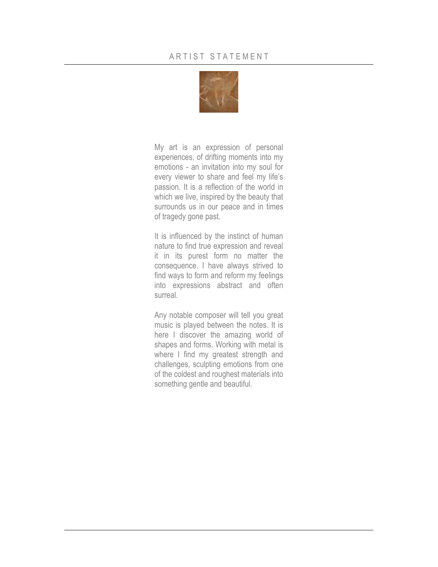

My art is an expression of personal experiences, of drifting moments into my emotions - an invitation into my soul for every viewer to share and feel my life's passion. It is a reflection of the world in which we live, inspired by the beauty that surrounds us in our peace and in times of tragedy gone past.

It is influenced by the instinct of human nature to find true expression and reveal it in its purest form no matter the consequence. I have always strived to find ways to form and reform my feelings into expressions abstract and often surreal.

Any notable composer will tell you great music is played between the notes. It is here I discover the amazing world of shapes and forms. Working with metal is where I find my greatest strength and challenges, sculpting emotions from one of the coldest and roughest materials into something gentle and beautiful.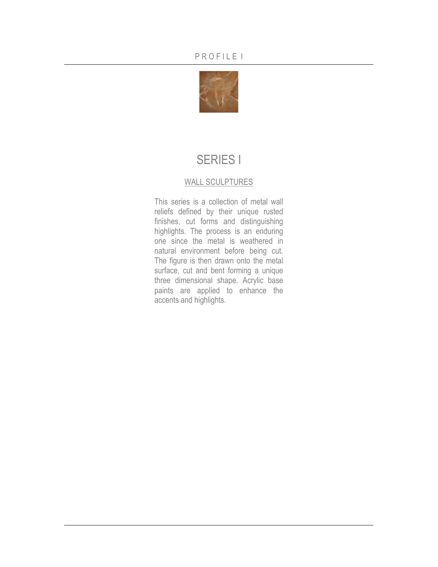

## SERIES I

## WALL SCULPTURES

This series is a collection of metal wall reliefs defined by their unique rusted finishes, cut forms and distinguishing highlights. The process is an enduring one since the metal is weathered in natural environment before being cut. The figure is then drawn onto the metal surface, cut and bent forming a unique three dimensional shape. Acrylic base paints are applied to enhance the accents and highlights.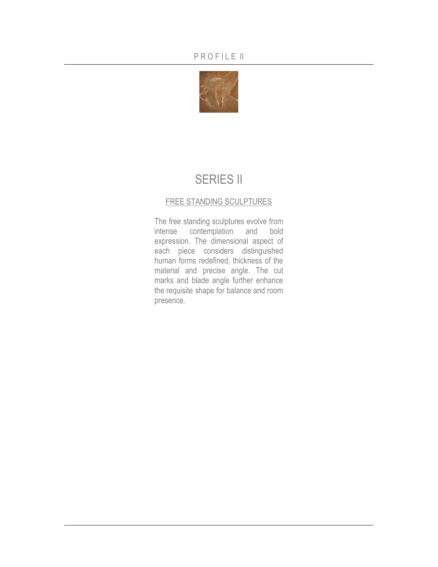

## **SERIES II**

## FREE STANDING SCULPTURES

The free standing sculptures evolve from intense contemplation and bold expression. The dimensional aspect of each piece considers distinguished human forms redefined, thickness of the material and precise angle. The cut marks and blade angle further enhance the requisite shape for balance and room presence.